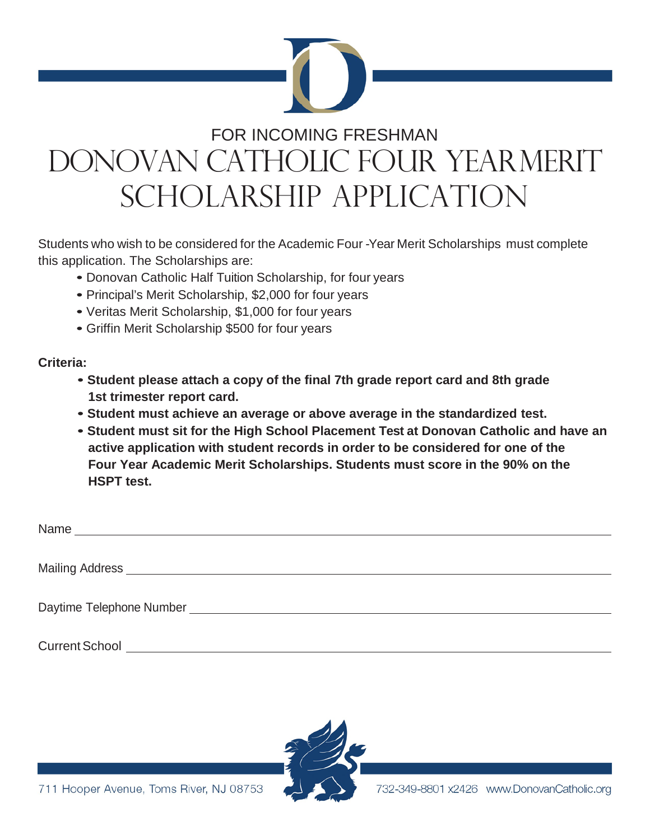

# FOR INCOMING FRESHMAN DONOVAN CATHOLIC FOUR YEARMERIT SCHOLARSHIP APPLICATION

Students who wish to be considered for the Academic Four -Year Merit Scholarships must complete this application. The Scholarships are:

- Donovan Catholic Half Tuition Scholarship, for four years
- Principal's Merit Scholarship, \$2,000 for four years
- Veritas Merit Scholarship, \$1,000 for four years
- Griffin Merit Scholarship \$500 for four years

## **Criteria:**

- **Student please attach a copy of the final 7th grade report card and 8th grade 1st trimester report card.**
- **Student must achieve an average or above average in the standardized test.**
- **Student must sit for the High School Placement Test at Donovan Catholic and have an active application with student records in order to be considered for one of the Four Year Academic Merit Scholarships. Students must score in the 90% on the HSPT test.**

| Name                                                                                                                                                                                                                           |  |
|--------------------------------------------------------------------------------------------------------------------------------------------------------------------------------------------------------------------------------|--|
|                                                                                                                                                                                                                                |  |
|                                                                                                                                                                                                                                |  |
|                                                                                                                                                                                                                                |  |
|                                                                                                                                                                                                                                |  |
| Daytime Telephone Number National Accounts and the Contract of the Contract of the Contract of the Contract of the Contract of the Contract of the Contract of the Contract of the Contract of the Contract of the Contract of |  |
|                                                                                                                                                                                                                                |  |
| <b>Current School</b>                                                                                                                                                                                                          |  |